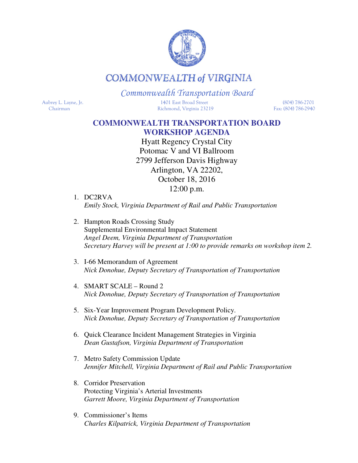

## **COMMONWEALTH of VIRGINIA**

## Commonwealth Transportation Board

Aubrey L. Layne, Jr. 1401 East Broad Street (804) 786-2701 Chairman Richmond, Virginia 23219 Fax: (804) 786-2940

## **COMMONWEALTH TRANSPORTATION BOARD WORKSHOP AGENDA**

Hyatt Regency Crystal City Potomac V and VI Ballroom 2799 Jefferson Davis Highway Arlington, VA 22202, October 18, 2016 12:00 p.m.

- 1. DC2RVA *Emily Stock, Virginia Department of Rail and Public Transportation*
- 2. Hampton Roads Crossing Study Supplemental Environmental Impact Statement *Angel Deem, Virginia Department of Transportation Secretary Harvey will be present at 1:00 to provide remarks on workshop item 2.*
- 3. I-66 Memorandum of Agreement *Nick Donohue, Deputy Secretary of Transportation of Transportation*
- 4. SMART SCALE Round 2 *Nick Donohue, Deputy Secretary of Transportation of Transportation*
- 5. Six-Year Improvement Program Development Policy. *Nick Donohue, Deputy Secretary of Transportation of Transportation*
- 6. Quick Clearance Incident Management Strategies in Virginia *Dean Gustafson, Virginia Department of Transportation*
- 7. Metro Safety Commission Update *Jennifer Mitchell, Virginia Department of Rail and Public Transportation*
- 8. Corridor Preservation Protecting Virginia's Arterial Investments *Garrett Moore, Virginia Department of Transportation*
- 9. Commissioner's Items  *Charles Kilpatrick, Virginia Department of Transportation*